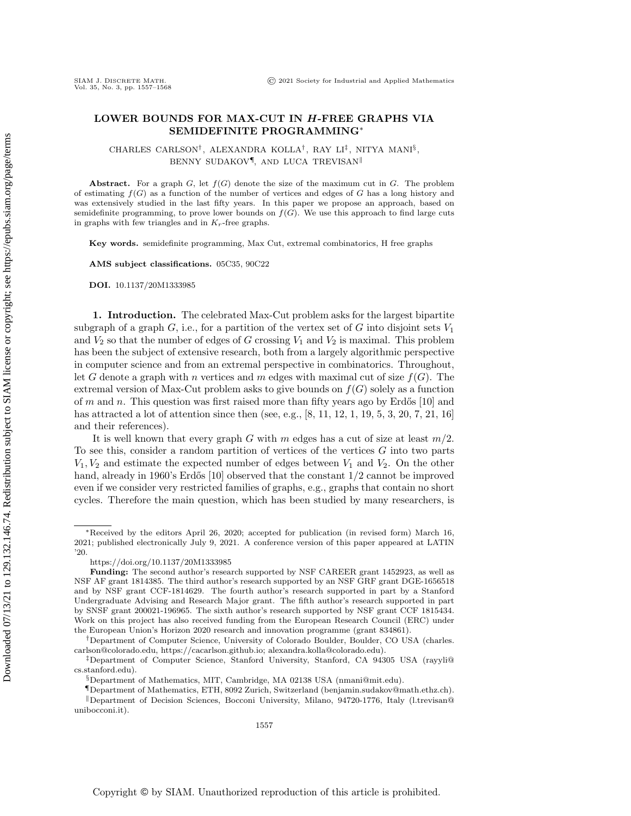## LOWER BOUNDS FOR MAX-CUT IN H-FREE GRAPHS VIA SEMIDEFINITE PROGRAMMING<sup>∗</sup>

CHARLES CARLSON<sup>†</sup>, ALEXANDRA KOLLA<sup>†</sup>, RAY LI<sup>‡</sup>, NITYA MANI<sup>§</sup>, BENNY SUDAKOV<sup>¶</sup>, AND LUCA TREVISAN<sup>||</sup>

Abstract. For a graph  $G$ , let  $f(G)$  denote the size of the maximum cut in G. The problem of estimating  $f(G)$  as a function of the number of vertices and edges of G has a long history and was extensively studied in the last fifty years. In this paper we propose an approach, based on semidefinite programming, to prove lower bounds on  $f(G)$ . We use this approach to find large cuts in graphs with few triangles and in  $K_r$ -free graphs.

Key words. semidefinite programming, Max Cut, extremal combinatorics, H free graphs

AMS subject classifications. 05C35, 90C22

DOI. 10.1137/20M1333985

1. Introduction. The celebrated Max-Cut problem asks for the largest bipartite subgraph of a graph G, i.e., for a partition of the vertex set of G into disjoint sets  $V_1$ and  $V_2$  so that the number of edges of G crossing  $V_1$  and  $V_2$  is maximal. This problem has been the subject of extensive research, both from a largely algorithmic perspective in computer science and from an extremal perspective in combinatorics. Throughout, let G denote a graph with n vertices and m edges with maximal cut of size  $f(G)$ . The extremal version of Max-Cut problem asks to give bounds on  $f(G)$  solely as a function of m and n. This question was first raised more than fifty years ago by Erdős  $[10]$  and has attracted a lot of attention since then (see, e.g.,  $[8, 11, 12, 1, 19, 5, 3, 20, 7, 21, 16]$  $[8, 11, 12, 1, 19, 5, 3, 20, 7, 21, 16]$  $[8, 11, 12, 1, 19, 5, 3, 20, 7, 21, 16]$  $[8, 11, 12, 1, 19, 5, 3, 20, 7, 21, 16]$  $[8, 11, 12, 1, 19, 5, 3, 20, 7, 21, 16]$  $[8, 11, 12, 1, 19, 5, 3, 20, 7, 21, 16]$  $[8, 11, 12, 1, 19, 5, 3, 20, 7, 21, 16]$  $[8, 11, 12, 1, 19, 5, 3, 20, 7, 21, 16]$  $[8, 11, 12, 1, 19, 5, 3, 20, 7, 21, 16]$  $[8, 11, 12, 1, 19, 5, 3, 20, 7, 21, 16]$  $[8, 11, 12, 1, 19, 5, 3, 20, 7, 21, 16]$ and their references).

It is well known that every graph G with m edges has a cut of size at least  $m/2$ . To see this, consider a random partition of vertices of the vertices G into two parts  $V_1, V_2$  and estimate the expected number of edges between  $V_1$  and  $V_2$ . On the other hand, already in 1960's Erdős [\[10\]](#page-11-0) observed that the constant  $1/2$  cannot be improved even if we consider very restricted families of graphs, e.g., graphs that contain no short cycles. Therefore the main question, which has been studied by many researchers, is

<sup>∗</sup>Received by the editors April 26, 2020; accepted for publication (in revised form) March 16, 2021; published electronically July 9, 2021. A conference version of this paper appeared at LATIN '20.

<https://doi.org/10.1137/20M1333985>

Funding: The second author's research supported by NSF CAREER grant 1452923, as well as NSF AF grant 1814385. The third author's research supported by an NSF GRF grant DGE-1656518 and by NSF grant CCF-1814629. The fourth author's research supported in part by a Stanford Undergraduate Advising and Research Major grant. The fifth author's research supported in part by SNSF grant 200021-196965. The sixth author's research supported by NSF grant CCF 1815434. Work on this project has also received funding from the European Research Council (ERC) under the European Union's Horizon 2020 research and innovation programme (grant 834861)

<sup>†</sup>Department of Computer Science, University of Colorado Boulder, Boulder, CO USA [\(charles.](mailto:charles.carlson@colorado.edu) [carlson@colorado.edu,](mailto:charles.carlson@colorado.edu) [https://cacarlson.github.io;](https://cacarlson.github.io) [alexandra.kolla@colorado.edu\)](mailto:alexandra.kolla@colorado.edu).

<sup>‡</sup>Department of Computer Science, Stanford University, Stanford, CA 94305 USA [\(rayyli@](mailto:rayyli@cs.stanford.edu) [cs.stanford.edu\)](mailto:rayyli@cs.stanford.edu).

<sup>§</sup>Department of Mathematics, MIT, Cambridge, MA 02138 USA [\(nmani@mit.edu\)](mailto:nmani@mit.edu).

<sup>¶</sup>Department of Mathematics, ETH, 8092 Zurich, Switzerland [\(benjamin.sudakov@math.ethz.ch\)](mailto:benjamin.sudakov@math.ethz.ch). <sup>k</sup>Department of Decision Sciences, Bocconi University, Milano, 94720-1776, Italy [\(l.trevisan@](mailto:l.trevisan@unibocconi.it) [unibocconi.it\)](mailto:l.trevisan@unibocconi.it).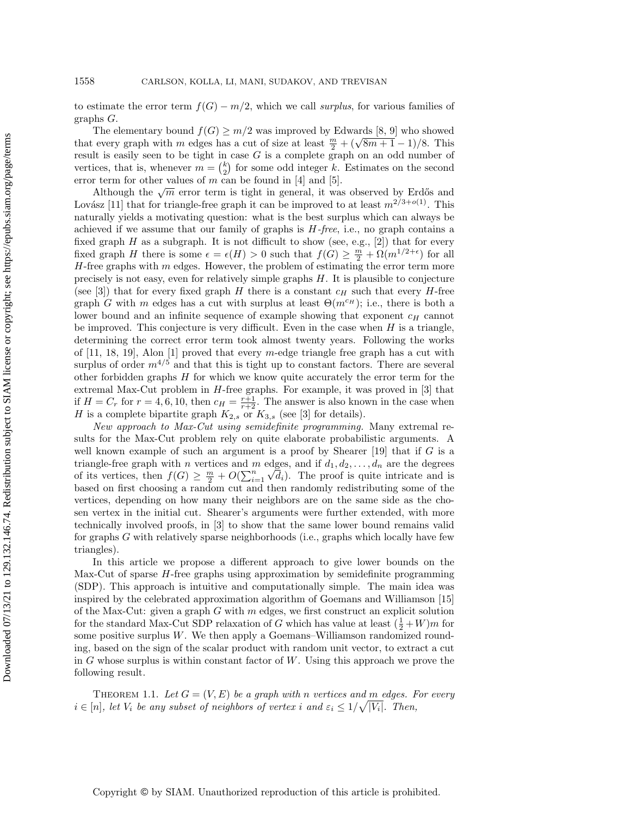to estimate the error term  $f(G) - m/2$ , which we call surplus, for various families of graphs G.

The elementary bound  $f(G) \geq m/2$  was improved by Edwards [\[8,](#page-11-1) [9\]](#page-11-8) who showed The elementary bound  $f(G) \ge m/2$  was improved by Edwards [6, 9] who showed<br>that every graph with m edges has a cut of size at least  $\frac{m}{2} + (\sqrt{8m+1}-1)/8$ . This result is easily seen to be tight in case  $G$  is a complete graph on an odd number of vertices, that is, whenever  $m = \binom{k}{2}$  for some odd integer k. Estimates on the second error term for other values of  $m$  can be found in [\[4\]](#page-10-4) and [\[5\]](#page-10-1).

The mean of other values of m can be found in [4] and [5].<br>Although the  $\sqrt{m}$  error term is tight in general, it was observed by Erdős and Lovász [\[11\]](#page-11-2) that for triangle-free graph it can be improved to at least  $m^{2/3+o(1)}$ . This naturally yields a motivating question: what is the best surplus which can always be achieved if we assume that our family of graphs is  $H$ -free, i.e., no graph contains a fixed graph  $H$  as a subgraph. It is not difficult to show (see, e.g., [\[2\]](#page-10-5)) that for every fixed graph H there is some  $\epsilon = \epsilon(H) > 0$  such that  $f(G) \geq \frac{m}{2} + \Omega(m^{1/2+\epsilon})$  for all  $H$ -free graphs with  $m$  edges. However, the problem of estimating the error term more precisely is not easy, even for relatively simple graphs H. It is plausible to conjecture (see [\[3\]](#page-10-2)) that for every fixed graph H there is a constant  $c_H$  such that every H-free graph G with m edges has a cut with surplus at least  $\Theta(m^{c_H})$ ; i.e., there is both a lower bound and an infinite sequence of example showing that exponent  $c_H$  cannot be improved. This conjecture is very difficult. Even in the case when  $H$  is a triangle, determining the correct error term took almost twenty years. Following the works of [\[11,](#page-11-2) [18,](#page-11-9) [19\]](#page-11-4), Alon [\[1\]](#page-10-0) proved that every m-edge triangle free graph has a cut with surplus of order  $m^{4/5}$  and that this is tight up to constant factors. There are several other forbidden graphs  $H$  for which we know quite accurately the error term for the extremal Max-Cut problem in  $H$ -free graphs. For example, it was proved in  $[3]$  that if  $H = C_r$  for  $r = 4, 6, 10$ , then  $c_H = \frac{r+1}{r+2}$ . The answer is also known in the case when H is a complete bipartite graph  $K_{2,s}$  or  $K_{3,s}$  (see [\[3\]](#page-10-2) for details).

New approach to Max-Cut using semidefinite programming. Many extremal results for the Max-Cut problem rely on quite elaborate probabilistic arguments. A well known example of such an argument is a proof by Shearer  $[19]$  that if G is a triangle-free graph with *n* vertices and *m* edges, and if  $d_1, d_2, \ldots, d_n$  are the degrees of its vertices, then  $f(G) \geq \frac{m}{2} + O(\sum_{i=1}^n \sqrt{d_i})$ . The proof is quite intricate and is based on first choosing a random cut and then randomly redistributing some of the vertices, depending on how many their neighbors are on the same side as the chosen vertex in the initial cut. Shearer's arguments were further extended, with more technically involved proofs, in [\[3\]](#page-10-2) to show that the same lower bound remains valid for graphs  $G$  with relatively sparse neighborhoods (i.e., graphs which locally have few triangles).

In this article we propose a different approach to give lower bounds on the Max-Cut of sparse  $H$ -free graphs using approximation by semidefinite programming (SDP). This approach is intuitive and computationally simple. The main idea was inspired by the celebrated approximation algorithm of Goemans and Williamson [\[15\]](#page-11-10) of the Max-Cut: given a graph  $G$  with  $m$  edges, we first construct an explicit solution for the standard Max-Cut SDP relaxation of G which has value at least  $(\frac{1}{2} + W)m$  for some positive surplus  $W$ . We then apply a Goemans–Williamson randomized rounding, based on the sign of the scalar product with random unit vector, to extract a cut in G whose surplus is within constant factor of  $W$ . Using this approach we prove the following result.

<span id="page-1-0"></span>THEOREM 1.1. Let  $G = (V, E)$  be a graph with n vertices and m edges. For every  $i \in [n]$ , let  $V_i$  be any subset of neighbors of vertex i and  $\varepsilon_i \leq 1/\sqrt{|V_i|}$ . Then,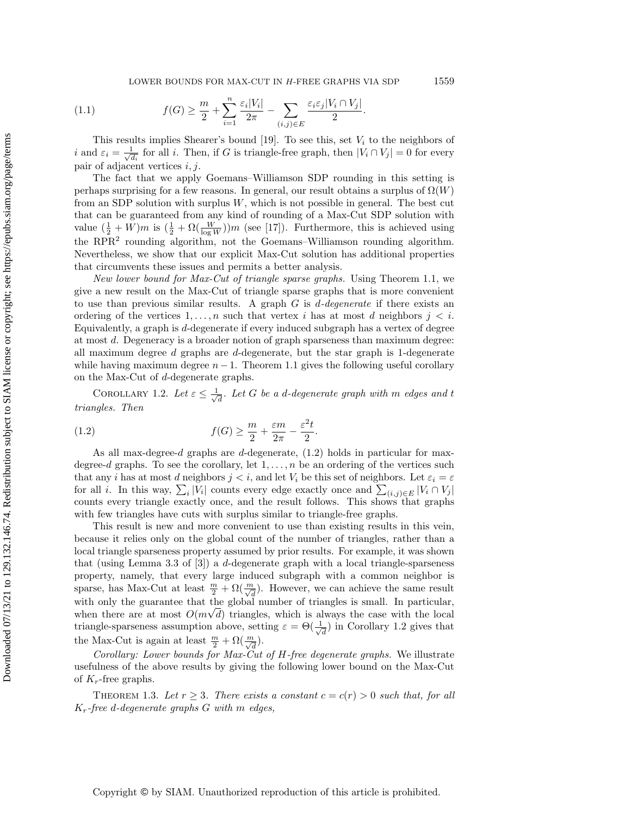LOWER BOUNDS FOR MAX-CUT IN H-FREE GRAPHS VIA SDP 1559

(1.1) 
$$
f(G) \geq \frac{m}{2} + \sum_{i=1}^{n} \frac{\varepsilon_i |V_i|}{2\pi} - \sum_{(i,j) \in E} \frac{\varepsilon_i \varepsilon_j |V_i \cap V_j|}{2}.
$$

This results implies Shearer's bound [\[19\]](#page-11-4). To see this, set  $V_i$  to the neighbors of *i* and  $\varepsilon_i = \frac{1}{\sqrt{2}}$  $\frac{d}{d_i}$  for all *i*. Then, if G is triangle-free graph, then  $|V_i \cap V_j| = 0$  for every pair of adjacent vertices  $i, j$ .

The fact that we apply Goemans–Williamson SDP rounding in this setting is perhaps surprising for a few reasons. In general, our result obtains a surplus of  $\Omega(W)$ from an SDP solution with surplus  $W$ , which is not possible in general. The best cut that can be guaranteed from any kind of rounding of a Max-Cut SDP solution with value  $(\frac{1}{2} + W)m$  is  $(\frac{1}{2} + \Omega(\frac{W}{\log W}))m$  (see [\[17\]](#page-11-11)). Furthermore, this is achieved using the RPR<sup>2</sup> rounding algorithm, not the Goemans–Williamson rounding algorithm. Nevertheless, we show that our explicit Max-Cut solution has additional properties that circumvents these issues and permits a better analysis.

New lower bound for Max-Cut of triangle sparse graphs. Using Theorem [1.1,](#page-1-0) we give a new result on the Max-Cut of triangle sparse graphs that is more convenient to use than previous similar results. A graph  $G$  is  $d$ -degenerate if there exists an ordering of the vertices  $1, \ldots, n$  such that vertex i has at most d neighbors  $j < i$ . Equivalently, a graph is d-degenerate if every induced subgraph has a vertex of degree at most d. Degeneracy is a broader notion of graph sparseness than maximum degree: all maximum degree  $d$  graphs are  $d$ -degenerate, but the star graph is 1-degenerate while having maximum degree  $n-1$ . Theorem [1.1](#page-1-0) gives the following useful corollary on the Max-Cut of d-degenerate graphs.

<span id="page-2-1"></span>COROLLARY 1.2. Let  $\varepsilon \leq \frac{1}{\sqrt{2}}$  $\frac{1}{d}$ . Let G be a d-degenerate graph with  $m$  edges and t triangles. Then

<span id="page-2-0"></span>(1.2) 
$$
f(G) \geq \frac{m}{2} + \frac{\varepsilon m}{2\pi} - \frac{\varepsilon^2 t}{2}.
$$

As all max-degree-d graphs are d-degenerate,  $(1.2)$  holds in particular for maxdegree-d graphs. To see the corollary, let  $1, \ldots, n$  be an ordering of the vertices such that any i has at most d neighbors  $j < i$ , and let  $V_i$  be this set of neighbors. Let  $\varepsilon_i = \varepsilon$ for all *i*. In this way,  $\sum_i |V_i|$  counts every edge exactly once and  $\sum_{(i,j)\in E} |V_i \cap V_j|$ counts every triangle exactly once, and the result follows. This shows that graphs with few triangles have cuts with surplus similar to triangle-free graphs.

This result is new and more convenient to use than existing results in this vein, because it relies only on the global count of the number of triangles, rather than a local triangle sparseness property assumed by prior results. For example, it was shown that (using Lemma 3.3 of [\[3\]](#page-10-2)) a d-degenerate graph with a local triangle-sparseness property, namely, that every large induced subgraph with a common neighbor is sparse, has Max-Cut at least  $\frac{m}{2} + \Omega(\frac{m}{\sqrt{d}})$ . However, we can achieve the same result with only the guarantee that the global number of triangles is small. In particular, when there are at most  $O(m\sqrt{d})$  triangles, which is always the case with the local triangle-sparseness assumption above, setting  $\varepsilon = \Theta(\frac{1}{\sqrt{\epsilon}})$  $\frac{1}{d}$ ) in Corollary [1.2](#page-2-1) gives that the Max-Cut is again at least  $\frac{m}{2} + \Omega(\frac{m}{\sqrt{d}})$ .

Corollary: Lower bounds for Max-Cut of H-free degenerate graphs. We illustrate usefulness of the above results by giving the following lower bound on the Max-Cut of  $K_r$ -free graphs.

<span id="page-2-2"></span>THEOREM 1.3. Let  $r \geq 3$ . There exists a constant  $c = c(r) > 0$  such that, for all  $K_r$ -free d-degenerate graphs  $G$  with  $m$  edges,

Copyright © by SIAM. Unauthorized reproduction of this article is prohibited.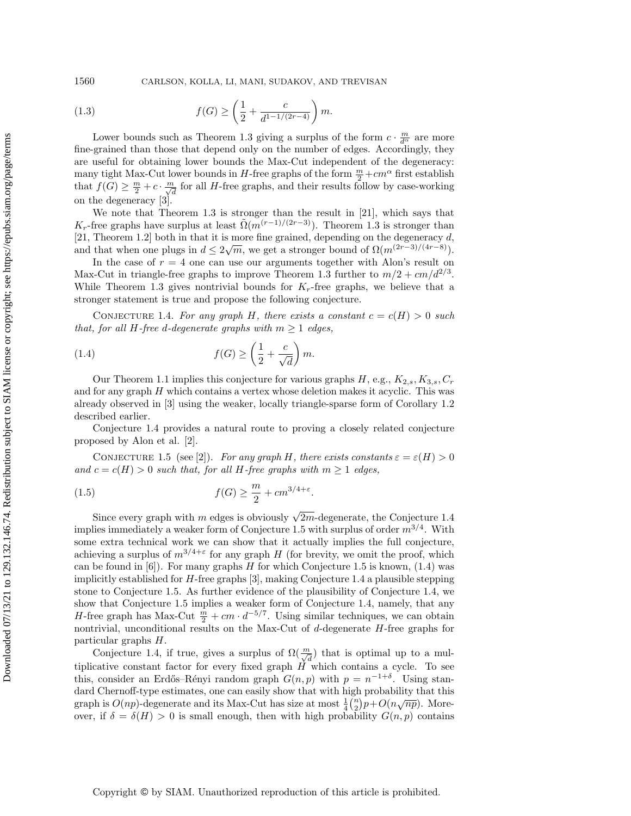1560 CARLSON, KOLLA, LI, MANI, SUDAKOV, AND TREVISAN

(1.3) 
$$
f(G) \ge \left(\frac{1}{2} + \frac{c}{d^{1-1/(2r-4)}}\right)m.
$$

Lower bounds such as Theorem [1.3](#page-2-2) giving a surplus of the form  $c \cdot \frac{m}{d^{\alpha}}$  are more fine-grained than those that depend only on the number of edges. Accordingly, they are useful for obtaining lower bounds the Max-Cut independent of the degeneracy: many tight Max-Cut lower bounds in  $H$ -free graphs of the form  $\frac{m}{2} + cm^{\alpha}$  first establish that  $f(G) \geq \frac{m}{2} + c \cdot \frac{m}{\sqrt{d}}$  for all H-free graphs, and their results follow by case-working on the degeneracy [\[3\]](#page-10-2).

We note that Theorem [1.3](#page-2-2) is stronger than the result in [\[21\]](#page-11-6), which says that  $K_r$ -free graphs have surplus at least  $\tilde{\Omega}(m^{(r-1)/(2r-3)})$ . Theorem [1.3](#page-2-2) is stronger than [\[21,](#page-11-6) Theorem 1.2] both in that it is more fine grained, depending on the degeneracy d, and that when one plugs in  $d \leq 2\sqrt{m}$ , we get a stronger bound of  $\Omega(m^{(2r-3)/(4r-8)})$ .

In the case of  $r = 4$  one can use our arguments together with Alon's result on Max-Cut in triangle-free graphs to improve Theorem [1.3](#page-2-2) further to  $m/2 + cm/d^{2/3}$ . While Theorem [1.3](#page-2-2) gives nontrivial bounds for  $K_r$ -free graphs, we believe that a stronger statement is true and propose the following conjecture.

<span id="page-3-0"></span>CONJECTURE 1.4. For any graph H, there exists a constant  $c = c(H) > 0$  such that, for all H-free d-degenerate graphs with  $m \geq 1$  edges,

<span id="page-3-2"></span>(1.4) 
$$
f(G) \ge \left(\frac{1}{2} + \frac{c}{\sqrt{d}}\right)m.
$$

Our Theorem [1.1](#page-1-0) implies this conjecture for various graphs  $H$ , e.g.,  $K_{2,s}$ ,  $K_{3,s}$ ,  $C_r$ and for any graph  $H$  which contains a vertex whose deletion makes it acyclic. This was already observed in [\[3\]](#page-10-2) using the weaker, locally triangle-sparse form of Corollary [1.2](#page-2-1) described earlier.

Conjecture [1.4](#page-3-0) provides a natural route to proving a closely related conjecture proposed by Alon et al. [\[2\]](#page-10-5).

<span id="page-3-1"></span>CONJECTURE 1.5 (see [\[2\]](#page-10-5)). For any graph H, there exists constants  $\varepsilon = \varepsilon(H) > 0$ and  $c = c(H) > 0$  such that, for all H-free graphs with  $m \geq 1$  edges,

(1.5) 
$$
f(G) \geq \frac{m}{2} + cm^{3/4 + \varepsilon}.
$$

Since every graph with m edges is obviously  $\sqrt{2m}$ -degenerate, the Conjecture [1.4](#page-3-0) implies immediately a weaker form of Conjecture [1.5](#page-3-1) with surplus of order  $m^{3/4}$ . With some extra technical work we can show that it actually implies the full conjecture, achieving a surplus of  $m^{3/4+\epsilon}$  for any graph H (for brevity, we omit the proof, which can be found in  $[6]$ . For many graphs H for which Conjecture [1.5](#page-3-1) is known,  $(1.4)$  was implicitly established for H-free graphs [\[3\]](#page-10-2), making Conjecture [1.4](#page-3-0) a plausible stepping stone to Conjecture [1.5.](#page-3-1) As further evidence of the plausibility of Conjecture [1.4,](#page-3-0) we show that Conjecture [1.5](#page-3-1) implies a weaker form of Conjecture [1.4,](#page-3-0) namely, that any *H*-free graph has Max-Cut  $\frac{m}{2} + cm \cdot d^{-5/7}$ . Using similar techniques, we can obtain nontrivial, unconditional results on the Max-Cut of  $d$ -degenerate  $H$ -free graphs for particular graphs H.

Conjecture [1.4,](#page-3-0) if true, gives a surplus of  $\Omega(\frac{m}{\sqrt{d}})$  that is optimal up to a multiplicative constant factor for every fixed graph  $H$  which contains a cycle. To see this, consider an Erdős–Rényi random graph  $G(n, p)$  with  $p = n^{-1+\delta}$ . Using standard Chernoff-type estimates, one can easily show that with high probability that this graph is  $O(np)$ -degenerate and its Max-Cut has size at most  $\frac{1}{4} {n \choose 2} p + O(n \sqrt{np})$ . Moreover, if  $\delta = \delta(H) > 0$  is small enough, then with high probability  $G(n, p)$  contains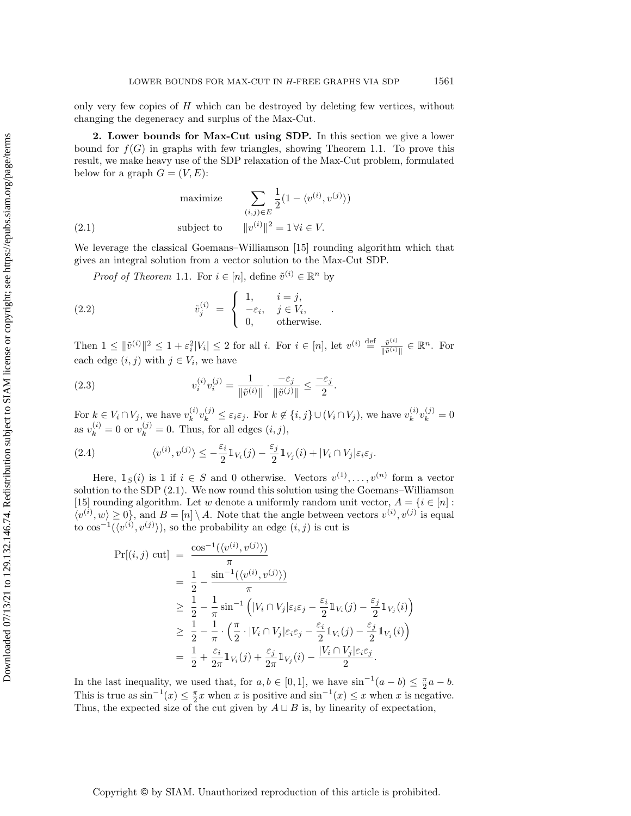only very few copies of  $H$  which can be destroyed by deleting few vertices, without changing the degeneracy and surplus of the Max-Cut.

2. Lower bounds for Max-Cut using SDP. In this section we give a lower bound for  $f(G)$  in graphs with few triangles, showing Theorem [1.1.](#page-1-0) To prove this result, we make heavy use of the SDP relaxation of the Max-Cut problem, formulated below for a graph  $G = (V, E)$ :

<span id="page-4-0"></span>maximize 
$$
\sum_{(i,j)\in E} \frac{1}{2} (1 - \langle v^{(i)}, v^{(j)} \rangle)
$$
  
(2.1) subject to 
$$
||v^{(i)}||^2 = 1 \forall i \in V.
$$

We leverage the classical Goemans–Williamson [\[15\]](#page-11-10) rounding algorithm which that gives an integral solution from a vector solution to the Max-Cut SDP.

*Proof of Theorem* [1.1](#page-1-0). For  $i \in [n]$ , define  $\tilde{v}^{(i)} \in \mathbb{R}^n$  by

(2.2) 
$$
\tilde{v}_j^{(i)} = \begin{cases} 1, & i = j, \\ -\varepsilon_i, & j \in V_i, \\ 0, & \text{otherwise.} \end{cases}
$$

Then  $1 \leq ||\tilde{v}^{(i)}||^2 \leq 1 + \varepsilon_i^2 |V_i| \leq 2$  for all i. For  $i \in [n]$ , let  $v^{(i)} \stackrel{\text{def}}{=} \frac{\tilde{v}^{(i)}}{||\tilde{v}^{(i)}||^2}$  $\frac{\tilde{v}^{(i)}}{\|\tilde{v}^{(i)}\|} \in \mathbb{R}^n$ . For each edge  $(i, j)$  with  $j \in V_i$ , we have

(2.3) 
$$
v_i^{(i)} v_i^{(j)} = \frac{1}{\|\tilde{v}^{(i)}\|} \cdot \frac{-\varepsilon_j}{\|\tilde{v}^{(j)}\|} \le \frac{-\varepsilon_j}{2}.
$$

For  $k \in V_i \cap V_j$ , we have  $v_k^{(i)}$  $\mathcal{L}_{k}^{(i)}v_{k}^{(j)} \leq \varepsilon_{i}\varepsilon_{j}$ . For  $k \notin \{i, j\} \cup (V_{i} \cap V_{j}),$  we have  $v_{k}^{(i)}$  $\binom{(i)}{k}v_k^{(j)}=0$ as  $v_k^{(i)} = 0$  or  $v_k^{(j)} = 0$ . Thus, for all edges  $(i, j)$ ,

(2.4) 
$$
\langle v^{(i)}, v^{(j)} \rangle \leq -\frac{\varepsilon_i}{2} \mathbb{1}_{V_i}(j) - \frac{\varepsilon_j}{2} \mathbb{1}_{V_j}(i) + |V_i \cap V_j| \varepsilon_i \varepsilon_j.
$$

Here,  $\mathbb{1}_S(i)$  is 1 if  $i \in S$  and 0 otherwise. Vectors  $v^{(1)}, \ldots, v^{(n)}$  form a vector solution to the SDP [\(2.1\)](#page-4-0). We now round this solution using the Goemans–Williamson [\[15\]](#page-11-10) rounding algorithm. Let w denote a uniformly random unit vector,  $A = \{i \in [n]:$  $\langle v^{(i)}, w \rangle \geq 0$ , and  $B = [n] \setminus A$ . Note that the angle between vectors  $v^{(i)}, v^{(j)}$  is equal to  $\cos^{-1}(\langle v^{(i)}, v^{(j)} \rangle)$ , so the probability an edge  $(i, j)$  is cut is

$$
\Pr[(i, j) \text{ cut}] = \frac{\cos^{-1}(\langle v^{(i)}, v^{(j)} \rangle)}{\pi}
$$
  
\n
$$
= \frac{1}{2} - \frac{\sin^{-1}(\langle v^{(i)}, v^{(j)} \rangle)}{\pi}
$$
  
\n
$$
\geq \frac{1}{2} - \frac{1}{\pi} \sin^{-1} \left( |V_i \cap V_j| \varepsilon_i \varepsilon_j - \frac{\varepsilon_i}{2} 1_{V_i}(j) - \frac{\varepsilon_j}{2} 1_{V_j}(i) \right)
$$
  
\n
$$
\geq \frac{1}{2} - \frac{1}{\pi} \cdot \left( \frac{\pi}{2} \cdot |V_i \cap V_j| \varepsilon_i \varepsilon_j - \frac{\varepsilon_i}{2} 1_{V_i}(j) - \frac{\varepsilon_j}{2} 1_{V_j}(i) \right)
$$
  
\n
$$
= \frac{1}{2} + \frac{\varepsilon_i}{2\pi} 1_{V_i}(j) + \frac{\varepsilon_j}{2\pi} 1_{V_j}(i) - \frac{|V_i \cap V_j| \varepsilon_i \varepsilon_j}{2}.
$$

In the last inequality, we used that, for  $a, b \in [0, 1]$ , we have  $\sin^{-1}(a - b) \leq \frac{\pi}{2}a - b$ . This is true as  $\sin^{-1}(x) \leq \frac{\pi}{2}x$  when x is positive and  $\sin^{-1}(x) \leq x$  when x is negative. Thus, the expected size of the cut given by  $A \sqcup B$  is, by linearity of expectation,

Copyright © by SIAM. Unauthorized reproduction of this article is prohibited.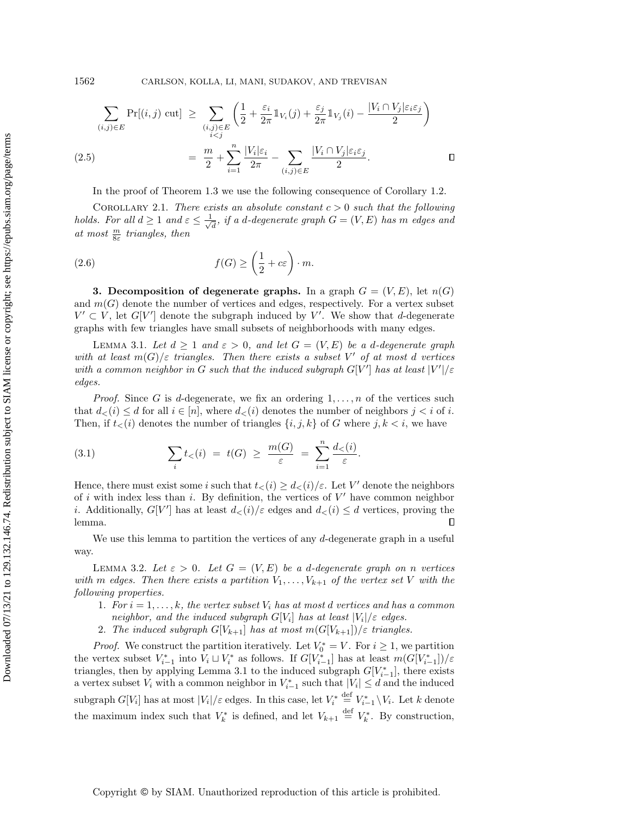1562 CARLSON, KOLLA, LI, MANI, SUDAKOV, AND TREVISAN

$$
\sum_{(i,j)\in E} \Pr[(i,j) \text{ cut}] \ge \sum_{\substack{(i,j)\in E \\ i\n
$$
= \frac{m}{2} + \sum_{i=1}^n \frac{|V_i|\varepsilon_i}{2\pi} - \sum_{(i,j)\in E} \frac{|V_i \cap V_j|\varepsilon_i\varepsilon_j}{2}.
$$
$$

In the proof of Theorem [1.3](#page-2-2) we use the following consequence of Corollary [1.2.](#page-2-1)

<span id="page-5-2"></span>COROLLARY 2.1. There exists an absolute constant  $c > 0$  such that the following holds. For all  $d \geq 1$  and  $\varepsilon \leq \frac{1}{4}$  $\overline{\overline{d}}$ , if a d-degenerate graph  $G=(V,E)$  has  $m$  edges and at most  $\frac{m}{8\varepsilon}$  triangles, then

(2.6) 
$$
f(G) \ge \left(\frac{1}{2} + c\varepsilon\right) \cdot m.
$$

**3.** Decomposition of degenerate graphs. In a graph  $G = (V, E)$ , let  $n(G)$ and  $m(G)$  denote the number of vertices and edges, respectively. For a vertex subset  $V' \subset V$ , let  $G[V']$  denote the subgraph induced by V'. We show that d-degenerate graphs with few triangles have small subsets of neighborhoods with many edges.

<span id="page-5-0"></span>LEMMA 3.1. Let  $d \geq 1$  and  $\varepsilon > 0$ , and let  $G = (V, E)$  be a d-degenerate graph with at least  $m(G)/\varepsilon$  triangles. Then there exists a subset V' of at most d vertices with a common neighbor in G such that the induced subgraph  $G[V']$  has at least  $|V'|/\varepsilon$ edges.

*Proof.* Since G is d-degenerate, we fix an ordering  $1, \ldots, n$  of the vertices such that  $d_<(i) \leq d$  for all  $i \in [n]$ , where  $d_<(i)$  denotes the number of neighbors  $j < i$  of i. Then, if  $t<sub>lt</sub>(i)$  denotes the number of triangles  $\{i, j, k\}$  of G where  $j, k < i$ , we have

(3.1) 
$$
\sum_{i} t_{<} (i) = t(G) \geq \frac{m(G)}{\varepsilon} = \sum_{i=1}^{n} \frac{d_{<} (i)}{\varepsilon}.
$$

Hence, there must exist some i such that  $t<sub>lt</sub>(i) \geq d<sub>lt</sub>(i)/\varepsilon$ . Let V' denote the neighbors of i with index less than i. By definition, the vertices of  $V'$  have common neighbor *i*. Additionally,  $G[V']$  has at least  $d_{\lt}(i)/\varepsilon$  edges and  $d_{\lt}(i) \leq d$  vertices, proving the lemma.  $\Box$ 

We use this lemma to partition the vertices of any  $d$ -degenerate graph in a useful way.

<span id="page-5-1"></span>LEMMA 3.2. Let  $\varepsilon > 0$ . Let  $G = (V, E)$  be a d-degenerate graph on n vertices with m edges. Then there exists a partition  $V_1, \ldots, V_{k+1}$  of the vertex set V with the following properties.

- 1. For  $i = 1, \ldots, k$ , the vertex subset  $V_i$  has at most d vertices and has a common neighbor, and the induced subgraph  $G[V_i]$  has at least  $|V_i|/\varepsilon$  edges.
- 2. The induced subgraph  $G[V_{k+1}]$  has at most  $m(G[V_{k+1}])/\varepsilon$  triangles.

<span id="page-5-3"></span>*Proof.* We construct the partition iteratively. Let  $V_0^* = V$ . For  $i \geq 1$ , we partition the vertex subset  $V_{i-1}^*$  into  $V_i \sqcup V_i^*$  as follows. If  $G[V_{i-1}^*]$  has at least  $m(G[V_{i-1}^*])/\varepsilon$ triangles, then by applying Lemma [3.1](#page-5-0) to the induced subgraph  $G[V^*_{i-1}]$ , there exists a vertex subset  $V_i$  with a common neighbor in  $V_{i-1}^*$  such that  $|V_i| \leq d$  and the induced subgraph  $G[V_i]$  has at most  $|V_i|/\varepsilon$  edges. In this case, let  $V_i^* \stackrel{\text{def}}{=} V_{i-1}^* \setminus V_i$ . Let k denote the maximum index such that  $V_k^*$  is defined, and let  $V_{k+1} \stackrel{\text{def}}{=} V_k^*$ . By construction,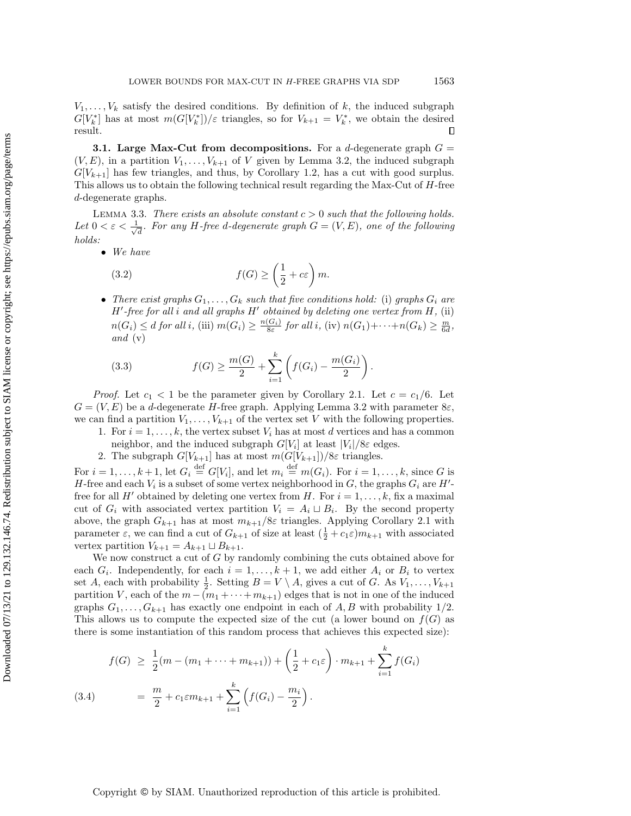$V_1, \ldots, V_k$  satisfy the desired conditions. By definition of k, the induced subgraph  $G[V_k^*]$  has at most  $m(G[V_k^*])/\varepsilon$  triangles, so for  $V_{k+1} = V_k^*$ , we obtain the desired result.  $\Box$ 

**3.1.** Large Max-Cut from decompositions. For a d-degenerate graph  $G =$  $(V, E)$ , in a partition  $V_1, \ldots, V_{k+1}$  of V given by Lemma [3.2,](#page-5-1) the induced subgraph  $G[V_{k+1}]$  has few triangles, and thus, by Corollary [1.2,](#page-2-1) has a cut with good surplus. This allows us to obtain the following technical result regarding the Max-Cut of H-free d-degenerate graphs.

<span id="page-6-3"></span>LEMMA 3.3. There exists an absolute constant  $c > 0$  such that the following holds. Let  $0 < \varepsilon < \frac{1}{\sqrt{2}}$  $\overline{\overline{d}}$ . For any H-free d-degenerate graph  $G=(V,E),$  one of the following holds:

• We have

<span id="page-6-1"></span>(3.2) 
$$
f(G) \ge \left(\frac{1}{2} + c\varepsilon\right)m.
$$

• There exist graphs  $G_1, \ldots, G_k$  such that five conditions hold: (i) graphs  $G_i$  are  $H'$ -free for all i and all graphs  $H'$  obtained by deleting one vertex from  $H$ , (ii)  $n(G_i) \leq d$  for all i, (iii)  $m(G_i) \geq \frac{n(G_i)}{8\varepsilon}$  for all i, (iv)  $n(G_1) + \cdots + n(G_k) \geq \frac{m}{6d}$ , and  $(v)$ 

<span id="page-6-2"></span>(3.3) 
$$
f(G) \ge \frac{m(G)}{2} + \sum_{i=1}^{k} \left( f(G_i) - \frac{m(G_i)}{2} \right).
$$

*Proof.* Let  $c_1 < 1$  be the parameter given by Corollary [2.1.](#page-5-2) Let  $c = c_1/6$ . Let  $G = (V, E)$  be a d-degenerate H-free graph. Applying Lemma [3.2](#page-5-3) with parameter  $8\varepsilon$ , we can find a partition  $V_1, \ldots, V_{k+1}$  of the vertex set V with the following properties.

- 1. For  $i = 1, \ldots, k$ , the vertex subset  $V_i$  has at most d vertices and has a common
- neighbor, and the induced subgraph  $G[V_i]$  at least  $|V_i|/8\varepsilon$  edges.
- 2. The subgraph  $G[V_{k+1}]$  has at most  $m(G[V_{k+1}])/8\varepsilon$  triangles.

For  $i = 1, \ldots, k+1$ , let  $G_i \stackrel{\text{def}}{=} G[V_i]$ , and let  $m_i \stackrel{\text{def}}{=} m(G_i)$ . For  $i = 1, \ldots, k$ , since G is H-free and each  $V_i$  is a subset of some vertex neighborhood in G, the graphs  $G_i$  are  $H'$ free for all H' obtained by deleting one vertex from H. For  $i = 1, \ldots, k$ , fix a maximal cut of  $G_i$  with associated vertex partition  $V_i = A_i \sqcup B_i$ . By the second property above, the graph  $G_{k+1}$  has at most  $m_{k+1}/8\varepsilon$  triangles. Applying Corollary [2.1](#page-5-2) with parameter  $\varepsilon$ , we can find a cut of  $G_{k+1}$  of size at least  $(\frac{1}{2} + c_1 \varepsilon) m_{k+1}$  with associated vertex partition  $V_{k+1} = A_{k+1} \sqcup B_{k+1}$ .

We now construct a cut of  $G$  by randomly combining the cuts obtained above for each  $G_i$ . Independently, for each  $i = 1, \ldots, k + 1$ , we add either  $A_i$  or  $B_i$  to vertex set A, each with probability  $\frac{1}{2}$ . Setting  $B = V \setminus A$ , gives a cut of G. As  $V_1, \ldots, V_{k+1}$ partition V, each of the  $m-(m_1+\cdots+m_{k+1})$  edges that is not in one of the induced graphs  $G_1, \ldots, G_{k+1}$  has exactly one endpoint in each of  $A, B$  with probability  $1/2$ . This allows us to compute the expected size of the cut (a lower bound on  $f(G)$  as there is some instantiation of this random process that achieves this expected size):

$$
f(G) \geq \frac{1}{2}(m - (m_1 + \dots + m_{k+1})) + \left(\frac{1}{2} + c_1 \varepsilon\right) \cdot m_{k+1} + \sum_{i=1}^{k} f(G_i)
$$

<span id="page-6-0"></span>(3.4) 
$$
= \frac{m}{2} + c_1 \varepsilon m_{k+1} + \sum_{i=1}^{k} \left( f(G_i) - \frac{m_i}{2} \right).
$$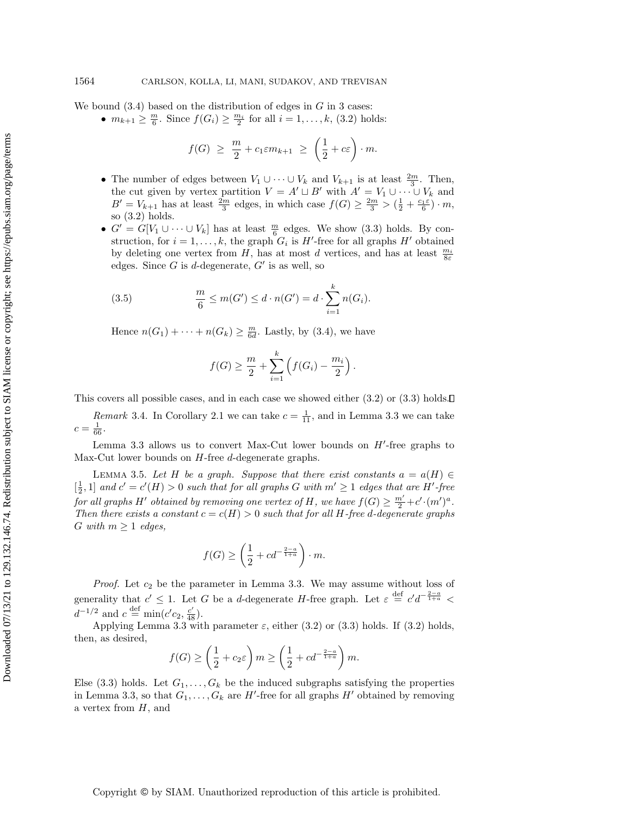We bound  $(3.4)$  based on the distribution of edges in G in 3 cases:

•  $m_{k+1} \geq \frac{m}{6}$ . Since  $f(G_i) \geq \frac{m_i}{2}$  for all  $i = 1, ..., k$ , [\(3.2\)](#page-6-1) holds:

$$
f(G) \geq \frac{m}{2} + c_1 \varepsilon m_{k+1} \geq \left(\frac{1}{2} + c\varepsilon\right) \cdot m.
$$

- The number of edges between  $V_1 \cup \cdots \cup V_k$  and  $V_{k+1}$  is at least  $\frac{2m}{3}$ . Then, the cut given by vertex partition  $V = A' \sqcup B'$  with  $A' = V_1 \cup \cdots \cup V_k$  and  $B' = V_{k+1}$  has at least  $\frac{2m}{3}$  edges, in which case  $f(G) \ge \frac{2m}{3} > (\frac{1}{2} + \frac{c_1 \varepsilon}{6}) \cdot m$ , so [\(3.2\)](#page-6-1) holds.
- $G' = G[V_1 \cup \cdots \cup V_k]$  has at least  $\frac{m}{6}$  edges. We show [\(3.3\)](#page-6-2) holds. By construction, for  $i = 1, ..., k$ , the graph  $G_i$  is  $H'$ -free for all graphs  $H'$  obtained by deleting one vertex from H, has at most d vertices, and has at least  $\frac{m_i}{8\varepsilon}$ edges. Since  $G$  is d-degenerate,  $G'$  is as well, so

(3.5) 
$$
\frac{m}{6} \le m(G') \le d \cdot n(G') = d \cdot \sum_{i=1}^{k} n(G_i).
$$

Hence  $n(G_1) + \cdots + n(G_k) \geq \frac{m}{6d}$ . Lastly, by [\(3.4\)](#page-6-0), we have

<span id="page-7-0"></span>
$$
f(G) \ge \frac{m}{2} + \sum_{i=1}^{k} (f(G_i) - \frac{m_i}{2}).
$$

This covers all possible cases, and in each case we showed either  $(3.2)$  or  $(3.3)$  holds.

*Remark* 3.4. In Corollary [2.1](#page-5-2) we can take  $c = \frac{1}{11}$ , and in Lemma [3.3](#page-6-3) we can take  $c = \frac{1}{66}.$ 

Lemma [3.3](#page-6-3) allows us to convert Max-Cut lower bounds on  $H'$ -free graphs to Max-Cut lower bounds on H-free d-degenerate graphs.

LEMMA 3.5. Let H be a graph. Suppose that there exist constants  $a = a(H) \in$  $\left[\frac{1}{2},1\right]$  and  $c'=c'(H) > 0$  such that for all graphs G with  $m' \geq 1$  edges that are H'-free for all graphs  $H'$  obtained by removing one vertex of  $H$ , we have  $f(G) \geq \frac{m'}{2} + c' \cdot (m')^a$ . Then there exists a constant  $c = c(H) > 0$  such that for all H-free d-degenerate graphs G with  $m \geq 1$  edges,

$$
f(G) \ge \left(\frac{1}{2} + cd^{-\frac{2-a}{1+a}}\right) \cdot m.
$$

*Proof.* Let  $c_2$  be the parameter in Lemma [3.3.](#page-6-3) We may assume without loss of generality that  $c' \leq 1$ . Let G be a d-degenerate H-free graph. Let  $\varepsilon \stackrel{\text{def}}{=} c'd^{-\frac{2-a}{1+a}}$  $d^{-1/2}$  and  $c \stackrel{\text{def}}{=} \min(c'c_2, \frac{c'}{48}).$ 

Applying Lemma [3.3](#page-6-3) with parameter  $\varepsilon$ , either [\(3.2\)](#page-6-1) or [\(3.3\)](#page-6-2) holds. If (3.2) holds, then, as desired,

$$
f(G) \ge \left(\frac{1}{2} + c_2 \varepsilon\right) m \ge \left(\frac{1}{2} + cd^{-\frac{2-a}{1+a}}\right) m.
$$

Else [\(3.3\)](#page-6-2) holds. Let  $G_1, \ldots, G_k$  be the induced subgraphs satisfying the properties in Lemma [3.3,](#page-6-3) so that  $G_1, \ldots, G_k$  are H'-free for all graphs H' obtained by removing a vertex from  $H$ , and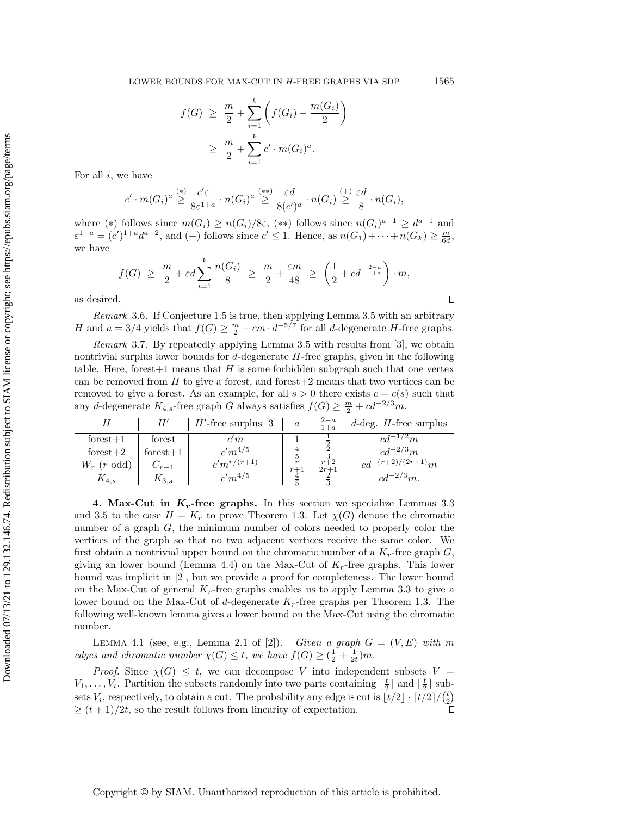$$
f(G) \geq \frac{m}{2} + \sum_{i=1}^{k} \left( f(G_i) - \frac{m(G_i)}{2} \right)
$$
  
 
$$
\geq \frac{m}{2} + \sum_{i=1}^{k} c' \cdot m(G_i)^a.
$$

For all  $i$ , we have

$$
c'\cdot m(G_i)^a \overset{(*)}\geq \frac{c'\varepsilon}{8\varepsilon^{1+a}}\cdot n(G_i)^a \overset{(**)}\geq \frac{\varepsilon d}{8(c')^a}\cdot n(G_i) \overset{(+)}\geq \frac{\varepsilon d}{8}\cdot n(G_i),
$$

where (\*) follows since  $m(G_i) \ge n(G_i)/8\varepsilon$ , (\*\*) follows since  $n(G_i)^{a-1} \ge d^{a-1}$  and  $\varepsilon^{1+a} = (c')^{1+a} d^{a-2}$ , and (+) follows since  $c' \le 1$ . Hence, as  $n(G_1) + \cdots + n(G_k) \ge \frac{m}{6d}$ , we have

$$
f(G) \ge \frac{m}{2} + \varepsilon d \sum_{i=1}^{k} \frac{n(G_i)}{8} \ge \frac{m}{2} + \frac{\varepsilon m}{48} \ge \left(\frac{1}{2} + cd^{-\frac{2-a}{1+a}}\right) \cdot m,
$$

as desired.

 $\Box$ 

Remark 3.6. If Conjecture [1.5](#page-3-1) is true, then applying Lemma [3.5](#page-7-0) with an arbitrary H and  $a = 3/4$  yields that  $f(G) \geq \frac{m}{2} + cm \cdot d^{-5/7}$  for all d-degenerate H-free graphs.

<span id="page-8-1"></span>Remark 3.7. By repeatedly applying Lemma [3.5](#page-7-0) with results from [\[3\]](#page-10-2), we obtain nontrivial surplus lower bounds for  $d$ -degenerate  $H$ -free graphs, given in the following table. Here, forest  $+1$  means that H is some forbidden subgraph such that one vertex can be removed from  $H$  to give a forest, and forest $+2$  means that two vertices can be removed to give a forest. As an example, for all  $s > 0$  there exists  $c = c(s)$  such that any d-degenerate  $K_{4,s}$ -free graph G always satisfies  $f(G) \geq \frac{m}{2} + cd^{-2/3}m$ .

|                | H′         | $H'$ -free surplus [3] | $\boldsymbol{a}$ | $\frac{2-a}{1+a}$ | $d$ -deg. H-free surplus |
|----------------|------------|------------------------|------------------|-------------------|--------------------------|
| $forest+1$     | forest     | $\it{c}'m$             |                  |                   | $\cdot$ -1/2 $m$         |
| forest $+2$    | $forest+1$ | $c'm^{4/5}$            | $\frac{4}{5}$    | $\overline{3}$    | $c d^{-2/3} m$           |
| $W_r$ (r odd)  | $C_{r-1}$  | $c'm^{r/(r+1)}$        | $\boldsymbol{r}$ | $r+2$<br>$2r + 1$ | $cd^{-(r+2)/(2r+1)}m$    |
| $\kappa_{4.s}$ | $K_{3,s}$  | $c'm^{4/5}$            |                  |                   | $cd^{-2/3}m$ .           |

4. Max-Cut in  $K_r$ -free graphs. In this section we specialize Lemmas [3.3](#page-6-3) and [3.5](#page-7-0) to the case  $H = K_r$  to prove Theorem [1.3.](#page-2-2) Let  $\chi(G)$  denote the chromatic number of a graph  $G$ , the minimum number of colors needed to properly color the vertices of the graph so that no two adjacent vertices receive the same color. We first obtain a nontrivial upper bound on the chromatic number of a  $K_r$ -free graph  $G$ , giving an lower bound (Lemma [4.4\)](#page-9-0) on the Max-Cut of  $K_r$ -free graphs. This lower bound was implicit in [\[2\]](#page-10-5), but we provide a proof for completeness. The lower bound on the Max-Cut of general  $K_r$ -free graphs enables us to apply Lemma [3.3](#page-6-3) to give a lower bound on the Max-Cut of d-degenerate  $K_r$ -free graphs per Theorem [1.3.](#page-2-2) The following well-known lemma gives a lower bound on the Max-Cut using the chromatic number.

<span id="page-8-0"></span>LEMMA 4.1 (see, e.g., Lemma 2.1 of [\[2\]](#page-10-5)). Given a graph  $G = (V, E)$  with m edges and chromatic number  $\chi(G) \leq t$ , we have  $f(G) \geq (\frac{1}{2} + \frac{1}{2t})m$ .

*Proof.* Since  $\chi(G) \leq t$ , we can decompose V into independent subsets V =  $V_1, \ldots, V_t$ . Partition the subsets randomly into two parts containing  $\lfloor \frac{t}{2} \rfloor$  and  $\lceil \frac{t}{2} \rceil$  subsets  $V_i$ , respectively, to obtain a cut. The probability any edge is cut is  $\lceil t/2 \rceil \cdot \lceil t/2 \rceil / {t \choose 2}$  $\geq (t+1)/2t$ , so the result follows from linearity of expectation.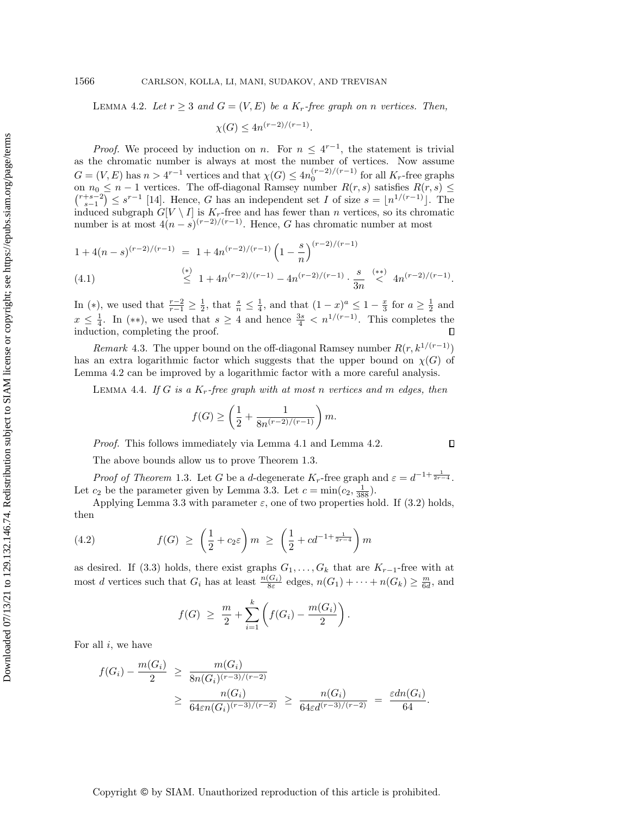## 1566 CARLSON, KOLLA, LI, MANI, SUDAKOV, AND TREVISAN

<span id="page-9-1"></span>LEMMA 4.2. Let  $r \geq 3$  and  $G = (V, E)$  be a  $K_r$ -free graph on n vertices. Then,

$$
\chi(G) \le 4n^{(r-2)/(r-1)}.
$$

*Proof.* We proceed by induction on n. For  $n \leq 4^{r-1}$ , the statement is trivial as the chromatic number is always at most the number of vertices. Now assume  $G = (V, E)$  has  $n > 4^{r-1}$  vertices and that  $\chi(G) \le 4n_0^{(r-2)/(r-1)}$  for all  $K_r$ -free graphs on  $n_0 \leq n-1$  vertices. The off-diagonal Ramsey number  $R(r, s)$  satisfies  $R(r, s) \leq$  $\binom{r+s-2}{s-1} \leq s^{r-1}$  [\[14\]](#page-11-12). Hence, G has an independent set I of size  $s = \lfloor n^{1/(r-1)} \rfloor$ . The induced subgraph  $G[V \setminus I]$  is  $K_r$ -free and has fewer than n vertices, so its chromatic number is at most  $4(n-s)^{(r-2)/(r-1)}$ . Hence, G has chromatic number at most

$$
\begin{array}{rcl}\n1 + 4(n-s)^{(r-2)/(r-1)} & = & 1 + 4n^{(r-2)/(r-1)} \left(1 - \frac{s}{n}\right)^{(r-2)/(r-1)} \\
& \stackrel{(*)}{\leq} & 1 + 4n^{(r-2)/(r-1)} - 4n^{(r-2)/(r-1)} \cdot \frac{s}{3n} \stackrel{(**)}{<} & 4n^{(r-2)/(r-1)}.\n\end{array}
$$

In (\*), we used that  $\frac{r-2}{r-1} \geq \frac{1}{2}$ , that  $\frac{s}{n} \leq \frac{1}{4}$ , and that  $(1-x)^a \leq 1-\frac{x}{3}$  for  $a \geq \frac{1}{2}$  and  $x \leq \frac{1}{4}$ . In (\*\*), we used that  $s \geq 4$  and hence  $\frac{3s}{4} < n^{1/(r-1)}$ . This completes the induction, completing the proof.

Remark 4.3. The upper bound on the off-diagonal Ramsey number  $R(r, k^{1/(r-1)})$ has an extra logarithmic factor which suggests that the upper bound on  $\chi(G)$  of Lemma [4.2](#page-9-1) can be improved by a logarithmic factor with a more careful analysis.

<span id="page-9-0"></span>LEMMA 4.4. If G is a  $K_r$ -free graph with at most n vertices and m edges, then

$$
f(G) \ge \left(\frac{1}{2} + \frac{1}{8n^{(r-2)/(r-1)}}\right)m.
$$

Proof. This follows immediately via Lemma [4.1](#page-8-0) and Lemma [4.2.](#page-9-1)

The above bounds allow us to prove Theorem [1.3.](#page-2-2)

*Proof of Theorem* [1.3](#page-2-2). Let G be a d-degenerate  $K_r$ -free graph and  $\varepsilon = d^{-1+\frac{1}{2r-4}}$ . Let  $c_2$  be the parameter given by Lemma [3.3.](#page-6-3) Let  $c = \min(c_2, \frac{1}{388})$ .

Applying Lemma [3.3](#page-6-3) with parameter  $\varepsilon$ , one of two properties hold. If [\(3.2\)](#page-6-1) holds, then

(4.2) 
$$
f(G) \ge \left(\frac{1}{2} + c_2 \varepsilon\right) m \ge \left(\frac{1}{2} + c d^{-1 + \frac{1}{2r - 4}}\right) m
$$

as desired. If [\(3.3\)](#page-6-2) holds, there exist graphs  $G_1, \ldots, G_k$  that are  $K_{r-1}$ -free with at most d vertices such that  $G_i$  has at least  $\frac{n(G_i)}{8\varepsilon}$  edges,  $n(G_1) + \cdots + n(G_k) \geq \frac{m}{6d}$ , and

$$
f(G) \geq \frac{m}{2} + \sum_{i=1}^{k} \left( f(G_i) - \frac{m(G_i)}{2} \right).
$$

For all  $i$ , we have

$$
f(G_i) - \frac{m(G_i)}{2} \ge \frac{m(G_i)}{8n(G_i)^{(r-3)/(r-2)}}
$$
  
 
$$
\ge \frac{n(G_i)}{64\epsilon n(G_i)^{(r-3)/(r-2)}} \ge \frac{n(G_i)}{64\epsilon d^{(r-3)/(r-2)}} = \frac{\epsilon dn(G_i)}{64}.
$$

 $\Box$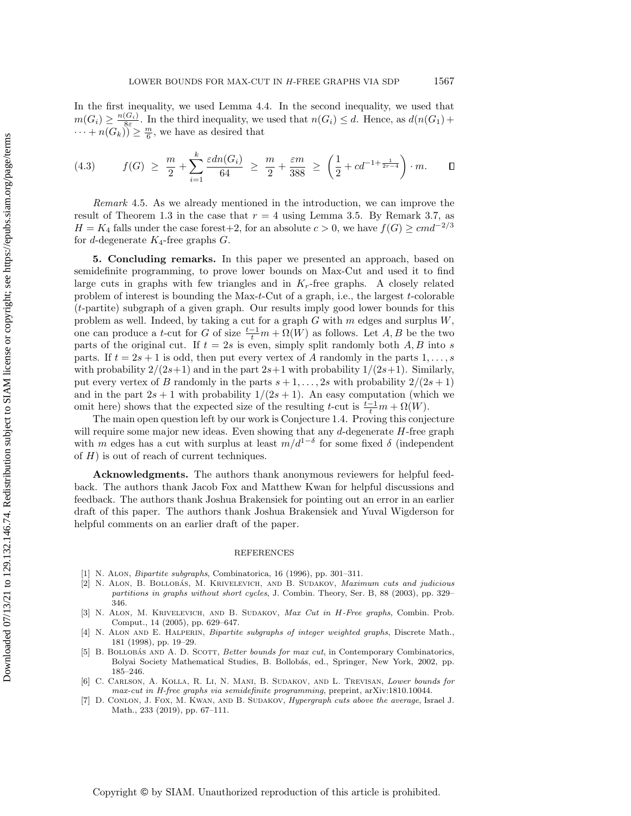In the first inequality, we used Lemma [4.4.](#page-9-0) In the second inequality, we used that  $m(G_i) \geq \frac{n(G_i)}{8\varepsilon}$ . In the third inequality, we used that  $n(G_i) \leq d$ . Hence, as  $d(n(G_1) +$  $\cdots + n(G_k)$  $\geq \frac{m}{6}$ , we have as desired that

$$
(4.3) \t f(G) \ge \frac{m}{2} + \sum_{i=1}^{k} \frac{\varepsilon dn(G_i)}{64} \ge \frac{m}{2} + \frac{\varepsilon m}{388} \ge \left(\frac{1}{2} + cd^{-1 + \frac{1}{2r-4}}\right) \cdot m. \qquad \Box
$$

Remark 4.5. As we already mentioned in the introduction, we can improve the result of Theorem [1.3](#page-2-2) in the case that  $r = 4$  using Lemma [3.5.](#page-7-0) By Remark [3.7,](#page-8-1) as  $H = K_4$  falls under the case forest+2, for an absolute  $c > 0$ , we have  $f(G) \geq cmd^{-2/3}$ for *d*-degenerate  $K_4$ -free graphs  $G$ .

5. Concluding remarks. In this paper we presented an approach, based on semidefinite programming, to prove lower bounds on Max-Cut and used it to find large cuts in graphs with few triangles and in  $K_r$ -free graphs. A closely related problem of interest is bounding the Max- $t$ -Cut of a graph, i.e., the largest  $t$ -colorable (t-partite) subgraph of a given graph. Our results imply good lower bounds for this problem as well. Indeed, by taking a cut for a graph  $G$  with  $m$  edges and surplus  $W$ , one can produce a t-cut for G of size  $\frac{t-1}{t}m + \Omega(W)$  as follows. Let  $A, B$  be the two parts of the original cut. If  $t = 2s$  is even, simply split randomly both  $A, B$  into s parts. If  $t = 2s + 1$  is odd, then put every vertex of A randomly in the parts  $1, \ldots, s$ with probability  $2/(2s+1)$  and in the part  $2s+1$  with probability  $1/(2s+1)$ . Similarly, put every vertex of B randomly in the parts  $s + 1, \ldots, 2s$  with probability  $2/(2s + 1)$ and in the part  $2s + 1$  with probability  $1/(2s + 1)$ . An easy computation (which we omit here) shows that the expected size of the resulting t-cut is  $\frac{t-1}{t}m + \Omega(W)$ .

The main open question left by our work is Conjecture [1.4.](#page-3-0) Proving this conjecture will require some major new ideas. Even showing that any  $d$ -degenerate  $H$ -free graph with m edges has a cut with surplus at least  $m/d^{1-\delta}$  for some fixed  $\delta$  (independent of  $H$ ) is out of reach of current techniques.

Acknowledgments. The authors thank anonymous reviewers for helpful feedback. The authors thank Jacob Fox and Matthew Kwan for helpful discussions and feedback. The authors thank Joshua Brakensiek for pointing out an error in an earlier draft of this paper. The authors thank Joshua Brakensiek and Yuval Wigderson for helpful comments on an earlier draft of the paper.

## REFERENCES

- <span id="page-10-0"></span>[1] N. Alon, Bipartite subgraphs, Combinatorica, 16 (1996), pp. 301–311.
- <span id="page-10-5"></span>[2] N. ALON, B. BOLLOBÁS, M. KRIVELEVICH, AND B. SUDAKOV, Maximum cuts and judicious partitions in graphs without short cycles, J. Combin. Theory, Ser. B, 88 (2003), pp. 329– 346.
- <span id="page-10-2"></span>[3] N. Alon, M. Krivelevich, and B. Sudakov, Max Cut in H-Free graphs, Combin. Prob. Comput., 14 (2005), pp. 629–647.
- <span id="page-10-4"></span>[4] N. ALON AND E. HALPERIN, *Bipartite subgraphs of integer weighted graphs*, Discrete Math., 181 (1998), pp. 19–29.
- <span id="page-10-1"></span>[5] B. BOLLOBÁS AND A. D. SCOTT, Better bounds for max cut, in Contemporary Combinatorics, Bolyai Society Mathematical Studies, B. Bollobás, ed., Springer, New York, 2002, pp. 185–246.
- <span id="page-10-6"></span>[6] C. Carlson, A. Kolla, R. Li, N. Mani, B. Sudakov, and L. Trevisan, Lower bounds for max-cut in H-free graphs via semidefinite programming, preprint, [arXiv:1810.10044.](https://arxiv.org/abs/1810.10044)
- <span id="page-10-3"></span>[7] D. Conlon, J. Fox, M. Kwan, and B. Sudakov, Hypergraph cuts above the average, Israel J. Math., 233 (2019), pp. 67–111.

Copyright © by SIAM. Unauthorized reproduction of this article is prohibited.